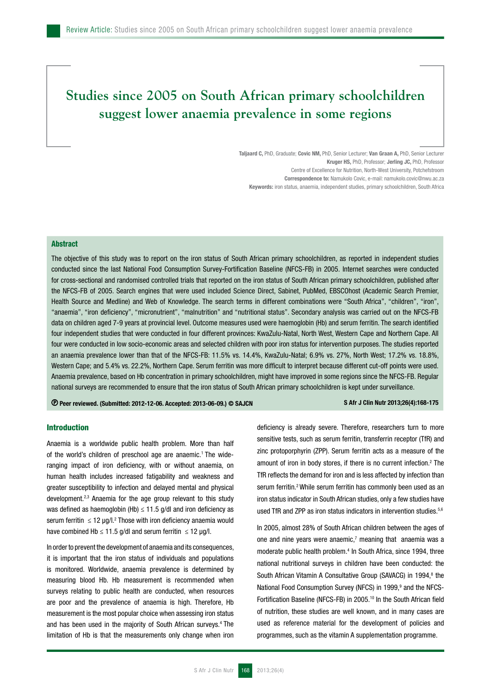# **Studies since 2005 on South African primary schoolchildren suggest lower anaemia prevalence in some regions**

Taljaard C, PhD, Graduate; Covic NM, PhD, Senior Lecturer; Van Graan A, PhD, Senior Lecturer Kruger HS, PhD, Professor; Jerling JC, PhD, Professor Centre of Excellence for Nutrition, North-West University, Potchefstroom Correspondence to: Namukolo Covic, e-mail: namukolo.covic@nwu.ac.za Keywords: iron status, anaemia, independent studies, primary schoolchildren, South Africa

## **Abstract**

The objective of this study was to report on the iron status of South African primary schoolchildren, as reported in independent studies conducted since the last National Food Consumption Survey-Fortification Baseline (NFCS-FB) in 2005. Internet searches were conducted for cross-sectional and randomised controlled trials that reported on the iron status of South African primary schoolchildren, published after the NFCS-FB of 2005. Search engines that were used included Science Direct, Sabinet, PubMed, EBSCOhost (Academic Search Premier, Health Source and Medline) and Web of Knowledge. The search terms in different combinations were "South Africa", "children", "iron", "anaemia", "iron deficiency", "micronutrient", "malnutrition" and "nutritional status". Secondary analysis was carried out on the NFCS-FB data on children aged 7-9 years at provincial level. Outcome measures used were haemoglobin (Hb) and serum ferritin. The search identified four independent studies that were conducted in four different provinces: KwaZulu-Natal, North West, Western Cape and Northern Cape. All four were conducted in low socio-economic areas and selected children with poor iron status for intervention purposes. The studies reported an anaemia prevalence lower than that of the NFCS-FB: 11.5% vs. 14.4%, KwaZulu-Natal; 6.9% vs. 27%, North West; 17.2% vs. 18.8%, Western Cape; and 5.4% vs. 22.2%, Northern Cape. Serum ferritin was more difficult to interpret because different cut-off points were used. Anaemia prevalence, based on Hb concentration in primary schoolchildren, might have improved in some regions since the NFCS-FB. Regular national surveys are recommended to ensure that the iron status of South African primary schoolchildren is kept under surveillance.

Peer reviewed. (Submitted: 2012-12-06. Accepted: 2013-06-09.) © SAJCN S Afr J Clin Nutr 2013;26(4):168-175

# Introduction

Anaemia is a worldwide public health problem. More than half of the world's children of preschool age are anaemic.<sup>1</sup> The wideranging impact of iron deficiency, with or without anaemia, on human health includes increased fatigability and weakness and greater susceptibility to infection and delayed mental and physical development.2,3 Anaemia for the age group relevant to this study was defined as haemoglobin (Hb)  $\leq$  11.5 g/dl and iron deficiency as serum ferritin  $\leq 12$  µg/l.<sup>2</sup> Those with iron deficiency anaemia would have combined Hb  $\leq$  11.5 g/dl and serum ferritin  $\leq$  12 µg/l.

In order to prevent the development of anaemia and its consequences, it is important that the iron status of individuals and populations is monitored. Worldwide, anaemia prevalence is determined by measuring blood Hb. Hb measurement is recommended when surveys relating to public health are conducted, when resources are poor and the prevalence of anaemia is high. Therefore, Hb measurement is the most popular choice when assessing iron status and has been used in the majority of South African surveys.4 The limitation of Hb is that the measurements only change when iron deficiency is already severe. Therefore, researchers turn to more sensitive tests, such as serum ferritin, transferrin receptor (TfR) and zinc protoporphyrin (ZPP). Serum ferritin acts as a measure of the amount of iron in body stores, if there is no current infection.2 The TfR reflects the demand for iron and is less affected by infection than serum ferritin.<sup>2</sup> While serum ferritin has commonly been used as an iron status indicator in South African studies, only a few studies have used TfR and ZPP as iron status indicators in intervention studies.<sup>5,6</sup>

In 2005, almost 28% of South African children between the ages of one and nine years were anaemic, $<sup>7</sup>$  meaning that anaemia was a</sup> moderate public health problem.<sup>4</sup> In South Africa, since 1994, three national nutritional surveys in children have been conducted: the South African Vitamin A Consultative Group (SAVACG) in 1994,<sup>8</sup> the National Food Consumption Survey (NFCS) in 1999,<sup>9</sup> and the NFCS-Fortification Baseline (NFCS-FB) in 2005.10 In the South African field of nutrition, these studies are well known, and in many cases are used as reference material for the development of policies and programmes, such as the vitamin A supplementation programme.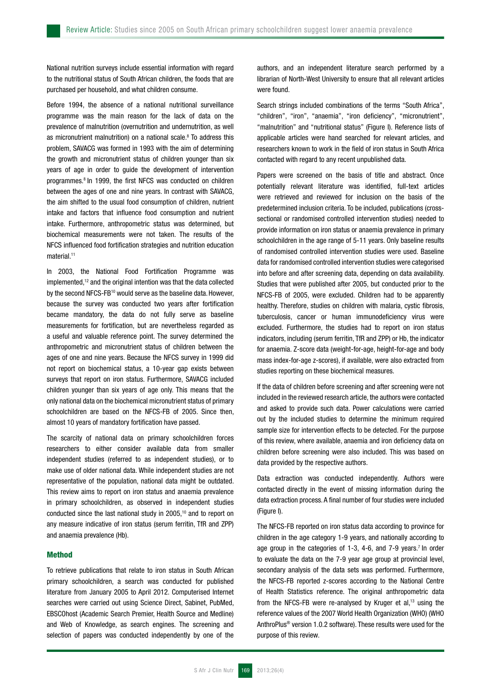National nutrition surveys include essential information with regard to the nutritional status of South African children, the foods that are purchased per household, and what children consume.

Before 1994, the absence of a national nutritional surveillance programme was the main reason for the lack of data on the prevalence of malnutrition (overnutrition and undernutrition, as well as micronutrient malnutrition) on a national scale.<sup>8</sup> To address this problem, SAVACG was formed in 1993 with the aim of determining the growth and micronutrient status of children younger than six years of age in order to guide the development of intervention programmes.8 In 1999, the first NFCS was conducted on children between the ages of one and nine years. In contrast with SAVACG, the aim shifted to the usual food consumption of children, nutrient intake and factors that influence food consumption and nutrient intake. Furthermore, anthropometric status was determined, but biochemical measurements were not taken. The results of the NFCS influenced food fortification strategies and nutrition education material.<sup>11</sup>

In 2003, the National Food Fortification Programme was implemented,12 and the original intention was that the data collected by the second NFCS-FB<sup>10</sup> would serve as the baseline data. However, because the survey was conducted two years after fortification became mandatory, the data do not fully serve as baseline measurements for fortification, but are nevertheless regarded as a useful and valuable reference point. The survey determined the anthropometric and micronutrient status of children between the ages of one and nine years. Because the NFCS survey in 1999 did not report on biochemical status, a 10-year gap exists between surveys that report on iron status. Furthermore, SAVACG included children younger than six years of age only. This means that the only national data on the biochemical micronutrient status of primary schoolchildren are based on the NFCS-FB of 2005. Since then, almost 10 years of mandatory fortification have passed.

The scarcity of national data on primary schoolchildren forces researchers to either consider available data from smaller independent studies (referred to as independent studies), or to make use of older national data. While independent studies are not representative of the population, national data might be outdated. This review aims to report on iron status and anaemia prevalence in primary schoolchildren, as observed in independent studies conducted since the last national study in 2005,10 and to report on any measure indicative of iron status (serum ferritin, TfR and ZPP) and anaemia prevalence (Hb).

# Method

To retrieve publications that relate to iron status in South African primary schoolchildren, a search was conducted for published literature from January 2005 to April 2012. Computerised Internet searches were carried out using Science Direct, Sabinet, PubMed, EBSCOhost (Academic Search Premier, Health Source and Medline) and Web of Knowledge, as search engines. The screening and selection of papers was conducted independently by one of the

authors, and an independent literature search performed by a librarian of North-West University to ensure that all relevant articles were found.

Search strings included combinations of the terms "South Africa", "children", "iron", "anaemia", "iron deficiency", "micronutrient", "malnutrition" and "nutritional status" (Figure I). Reference lists of applicable articles were hand searched for relevant articles, and researchers known to work in the field of iron status in South Africa contacted with regard to any recent unpublished data.

Papers were screened on the basis of title and abstract. Once potentially relevant literature was identified, full-text articles were retrieved and reviewed for inclusion on the basis of the predetermined inclusion criteria. To be included, publications (crosssectional or randomised controlled intervention studies) needed to provide information on iron status or anaemia prevalence in primary schoolchildren in the age range of 5-11 years. Only baseline results of randomised controlled intervention studies were used. Baseline data for randomised controlled intervention studies were categorised into before and after screening data, depending on data availability. Studies that were published after 2005, but conducted prior to the NFCS-FB of 2005, were excluded. Children had to be apparently healthy. Therefore, studies on children with malaria, cystic fibrosis, tuberculosis, cancer or human immunodeficiency virus were excluded. Furthermore, the studies had to report on iron status indicators, including (serum ferritin, TfR and ZPP) or Hb, the indicator for anaemia. Z-score data (weight-for-age, height-for-age and body mass index-for-age z-scores), if available, were also extracted from studies reporting on these biochemical measures.

If the data of children before screening and after screening were not included in the reviewed research article, the authors were contacted and asked to provide such data. Power calculations were carried out by the included studies to determine the minimum required sample size for intervention effects to be detected. For the purpose of this review, where available, anaemia and iron deficiency data on children before screening were also included. This was based on data provided by the respective authors.

Data extraction was conducted independently. Authors were contacted directly in the event of missing information during the data extraction process. A final number of four studies were included (Figure I).

The NFCS-FB reported on iron status data according to province for children in the age category 1-9 years, and nationally according to age group in the categories of 1-3, 4-6, and 7-9 years.<sup>7</sup> In order to evaluate the data on the 7-9 year age group at provincial level, secondary analysis of the data sets was performed. Furthermore, the NFCS-FB reported z-scores according to the National Centre of Health Statistics reference. The original anthropometric data from the NFCS-FB were re-analysed by Kruger et al,<sup>13</sup> using the reference values of the 2007 World Health Organization (WHO) (WHO AnthroPlus® version 1.0.2 software). These results were used for the purpose of this review.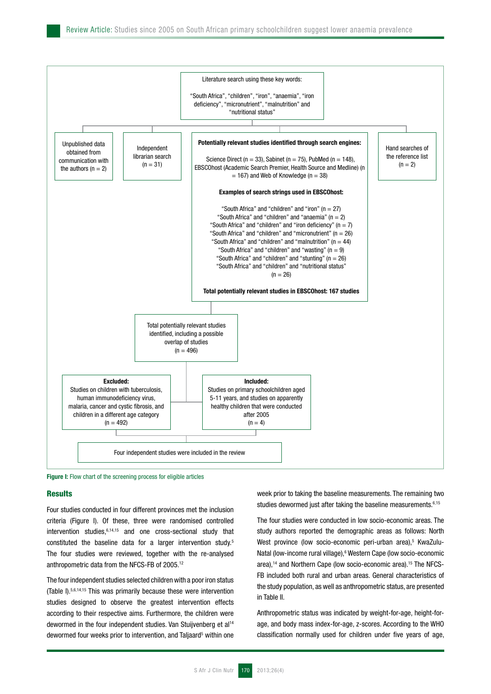

Figure I: Flow chart of the screening process for eligible articles

#### **Results**

Four studies conducted in four different provinces met the inclusion criteria (Figure I). Of these, three were randomised controlled intervention studies, $6,14,15$  and one cross-sectional study that constituted the baseline data for a larger intervention study.5 The four studies were reviewed, together with the re-analysed anthropometric data from the NFCS-FB of 2005.12

The four independent studies selected children with a poor iron status (Table I).5,6,14,15 This was primarily because these were intervention studies designed to observe the greatest intervention effects according to their respective aims. Furthermore, the children were dewormed in the four independent studies. Van Stuijvenberg et al<sup>14</sup> dewormed four weeks prior to intervention, and Taljaard<sup>5</sup> within one week prior to taking the baseline measurements. The remaining two studies dewormed just after taking the baseline measurements.<sup>6,15</sup>

The four studies were conducted in low socio-economic areas. The study authors reported the demographic areas as follows: North West province (low socio-economic peri-urban area),<sup>5</sup> KwaZulu-Natal (low-income rural village),<sup>6</sup> Western Cape (low socio-economic area),<sup>14</sup> and Northern Cape (low socio-economic area),<sup>15</sup> The NFCS-FB included both rural and urban areas. General characteristics of the study population, as well as anthropometric status, are presented in Table II.

Anthropometric status was indicated by weight-for-age, height-forage, and body mass index-for-age, z-scores. According to the WHO classification normally used for children under five years of age,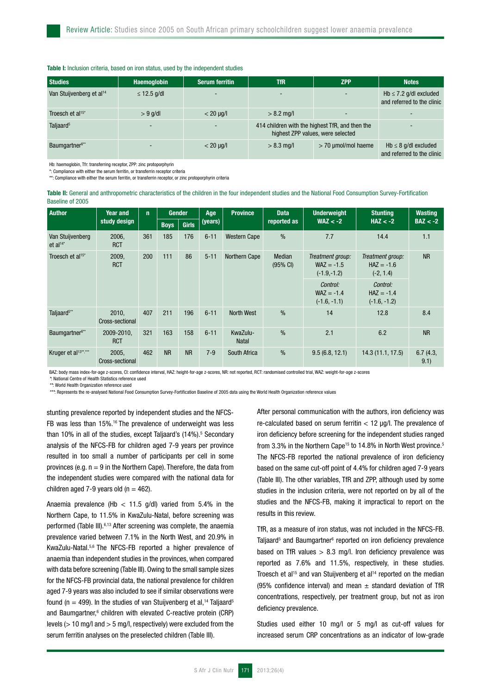#### Table I: Inclusion criteria, based on iron status, used by the independent studies

| <b>Studies</b>                       | <b>Haemoglobin</b> | <b>Serum ferritin</b> | TfR                      | <b>ZPP</b>                                                                           | <b>Notes</b>                                              |
|--------------------------------------|--------------------|-----------------------|--------------------------|--------------------------------------------------------------------------------------|-----------------------------------------------------------|
| Van Stuijvenberg et al <sup>14</sup> | $\leq$ 12.5 g/dl   |                       | $\overline{\phantom{0}}$ | $\overline{\phantom{a}}$                                                             | Hb $\leq$ 7.2 g/dl excluded<br>and referred to the clinic |
| Troesch et al <sup>15*</sup>         | $> 9$ g/dl         | $< 20 \mu q/l$        | $> 8.2$ mg/l             | $\overline{\phantom{0}}$                                                             |                                                           |
| Taljaard <sup>5</sup>                | -                  |                       |                          | 414 children with the highest TfR, and then the<br>highest ZPP values, were selected |                                                           |
| Baumgartner <sup>6**</sup>           |                    | $<$ 20 $\mu$ g/l      | $> 8.3$ mg/l             | $>$ 70 µmol/mol haeme                                                                | $Hb \leq 8$ g/dl excluded<br>and referred to the clinic   |

Hb: haemoglobin, Tfr: transferring receptor, ZPP: zinc protoporphyrin

\*: Compliance with either the serum ferritin, or transferrin receptor criteria \*\*: Compliance with either the serum ferritin, or transferrin receptor, or zinc protoporphyrin criteria

Table II: General and anthropometric characteristics of the children in the four independent studies and the National Food Consumption Survey-Fortification Baseline of 2005

| <b>Author</b>                            | Year and                 | $\mathbf{n}$ |             | <b>Gender</b> | Age      | <b>Province</b>          | <b>Data</b>                  | <b>Underweight</b>                                | <b>Stunting</b>                                 | <b>Wasting</b>  |
|------------------------------------------|--------------------------|--------------|-------------|---------------|----------|--------------------------|------------------------------|---------------------------------------------------|-------------------------------------------------|-----------------|
|                                          | study design             |              | <b>Boys</b> | <b>Girls</b>  | (years)  |                          | reported as                  | $WAZ < -2$                                        | $HAZ < -2$                                      | $BAZ < -2$      |
| Van Stuijvenberg<br>et al <sup>14*</sup> | 2006,<br><b>RCT</b>      | 361          | 185         | 176           | $6 - 11$ | <b>Western Cape</b>      | $\frac{0}{0}$                | 7.7                                               | 14.4                                            | 1.1             |
| Troesch et al <sup>15*</sup>             | 2009,<br><b>RCT</b>      | 200          | 111         | 86            | $5 - 11$ | Northern Cape            | Median<br>$(95% \text{ Cl})$ | Treatment group:<br>$WAZ = -1.5$<br>$(-1.9,-1.2)$ | Treatment group:<br>$HAZ = -1.6$<br>$(-2, 1.4)$ | <b>NR</b>       |
|                                          |                          |              |             |               |          |                          |                              | Control:<br>$WAZ = -1.4$<br>$(-1.6, -1.1)$        | Control:<br>$HAZ = -1.4$<br>$(-1.6, -1.2)$      |                 |
| Taljaard <sup>5**</sup>                  | 2010.<br>Cross-sectional | 407          | 211         | 196           | $6 - 11$ | North West               | $\frac{0}{0}$                | 14                                                | 12.8                                            | 8.4             |
| Baumgartner <sup>6**</sup>               | 2009-2010,<br><b>RCT</b> | 321          | 163         | 158           | $6 - 11$ | KwaZulu-<br><b>Natal</b> | $\frac{0}{0}$                | 2.1                                               | 6.2                                             | <b>NR</b>       |
| Kruger et al <sup>13**</sup> ,***        | 2005,<br>Cross-sectional | 462          | <b>NR</b>   | <b>NR</b>     | $7 - 9$  | South Africa             | $\frac{0}{0}$                | 9.5(6.8, 12.1)                                    | 14.3(11.1, 17.5)                                | 6.7(4.3,<br>9.1 |

BAZ: body mass index-for-age z-scores, CI: confidence interval, HAZ: height-for-age z-scores, NR: not reported, RCT: randomised controlled trial, WAZ: weight-for-age z-scores

*\**: National Centre of Health Statistics reference used

*\*\**: World Health Organization reference used

*\*\*\**: Represents the re-analysed National Food Consumption Survey-Fortification Baseline of 2005 data using the World Health Organization reference values

stunting prevalence reported by independent studies and the NFCS-FB was less than 15%.<sup>16</sup> The prevalence of underweight was less than 10% in all of the studies, except Taljaard's (14%).<sup>5</sup> Secondary analysis of the NFCS-FB for children aged 7-9 years per province resulted in too small a number of participants per cell in some provinces (e.g.  $n = 9$  in the Northern Cape). Therefore, the data from the independent studies were compared with the national data for children aged 7-9 years old ( $n = 462$ ).

Anaemia prevalence (Hb  $<$  11.5 g/dl) varied from 5.4% in the Northern Cape, to 11.5% in KwaZulu-Natal, before screening was performed (Table III).<sup>6,13</sup> After screening was complete, the anaemia prevalence varied between 7.1% in the North West, and 20.9% in KwaZulu-Natal.5,6 The NFCS-FB reported a higher prevalence of anaemia than independent studies in the provinces, when compared with data before screening (Table III). Owing to the small sample sizes for the NFCS-FB provincial data, the national prevalence for children aged 7-9 years was also included to see if similar observations were found (n = 499). In the studies of van Stuijvenberg et al,<sup>14</sup> Taljaard<sup>5</sup> and Baumgartner,<sup>6</sup> children with elevated C-reactive protein (CRP) levels (> 10 mg/l and > 5 mg/l, respectively) were excluded from the serum ferritin analyses on the preselected children (Table III).

After personal communication with the authors, iron deficiency was re-calculated based on serum ferritin < 12 µg/l. The prevalence of iron deficiency before screening for the independent studies ranged from 3.3% in the Northern Cape<sup>15</sup> to 14.8% in North West province.<sup>5</sup> The NFCS-FB reported the national prevalence of iron deficiency based on the same cut-off point of 4.4% for children aged 7-9 years (Table III). The other variables, TfR and ZPP, although used by some studies in the inclusion criteria, were not reported on by all of the studies and the NFCS-FB, making it impractical to report on the results in this review.

TfR, as a measure of iron status, was not included in the NFCS-FB. Taljaard<sup>5</sup> and Baumgartner<sup>6</sup> reported on iron deficiency prevalence based on TfR values  $> 8.3$  mg/l. Iron deficiency prevalence was reported as 7.6% and 11.5%, respectively, in these studies. Troesch et al<sup>15</sup> and van Stuijvenberg et al<sup>14</sup> reported on the median (95% confidence interval) and mean  $\pm$  standard deviation of TfR concentrations, respectively, per treatment group, but not as iron deficiency prevalence.

Studies used either 10 mg/l or 5 mg/l as cut-off values for increased serum CRP concentrations as an indicator of low-grade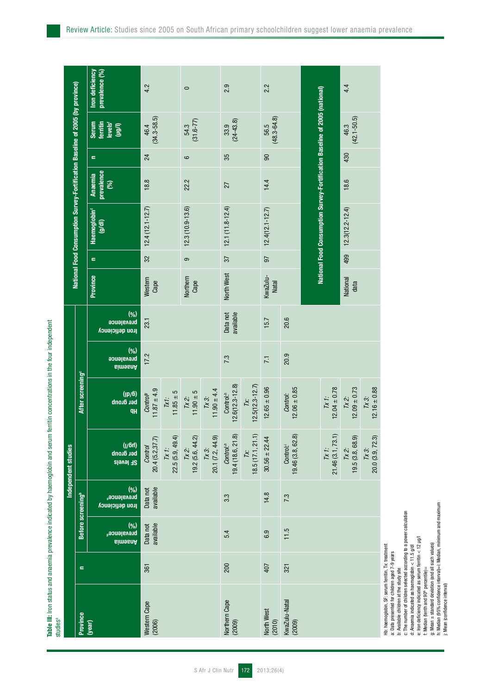Table III: Iron status and anaemia prevalence indicated by haemoglobin and serum ferritin concentrations in the four independent Table III: Iron status and anaemia prevalence indicated by haemoglobin and serum ferritin concentrations in the four independent studiesa

|                         |          |                                                  |                                             | Independent studies                                 |                                                     |                                     |                                                 |                          |          | National Food Consumption Survey-Fortification Baseline of 2005 (by province) |                                     |          |                                               |                                   |
|-------------------------|----------|--------------------------------------------------|---------------------------------------------|-----------------------------------------------------|-----------------------------------------------------|-------------------------------------|-------------------------------------------------|--------------------------|----------|-------------------------------------------------------------------------------|-------------------------------------|----------|-----------------------------------------------|-----------------------------------|
| Province                | $\equiv$ | Before screening <sup>b</sup>                    |                                             |                                                     | After screening <sup>®</sup>                        |                                     |                                                 |                          |          |                                                                               |                                     |          |                                               |                                   |
| ( <b>year</b> )         |          | (%)<br>brevalence <sub>d</sub><br><b>BimesnA</b> | (%)<br>brevalence®<br><b>ron deficiency</b> | (hâ\l)<br>bel âlonb<br>2E  e^e 2                    | (a <sub>\</sub> q <sub>l</sub> )<br>ber group<br>qH | (%)<br>brevalence<br><b>Anaemia</b> | $(\% )$<br>prevalence<br><b>Iron deficiency</b> | Province                 | $\equiv$ | Haemoglobin <sup>*</sup><br>(y/d)                                             | prevalence<br><b>Anaemia</b><br>(%) | $\equiv$ | ferritin<br>levels'<br>(µg/l)<br><b>Serum</b> | prevalence (%)<br>Iron deficiency |
| Western Cape<br>(2006)  | 361      | Data not<br>available                            | available<br>Data not                       | 20.4(5.2,37.7)<br>Control                           | $11.87 \pm 4.9$<br>Control <sup>p</sup>             | 17.2                                | 23.1                                            | Western<br>Cape          | 32       | $12.4(12.1 - 12.7)$                                                           | 18.8                                | 24       | $(34.3 - 58.5)$<br>46.4                       | 4.2                               |
|                         |          |                                                  |                                             | 22.5(5.9, 49.4)<br>$\overline{I}X$ $\overline{I}$ : | $11.85 + 5$<br>Txt:                                 |                                     |                                                 |                          |          |                                                                               |                                     |          |                                               |                                   |
|                         |          |                                                  |                                             | $7x^2$ :<br>19.2 (5.6, 44.2)                        | $11.90 \pm 5$<br>Tx 2:                              |                                     |                                                 | Northern<br>Cape         | ၜ        | $12.3(10.9 - 13.6)$                                                           | 22.2                                | $\circ$  | $(31.6 - 77)$<br>54.3                         | $\circ$                           |
|                         |          |                                                  |                                             | 20.1 (7.2, 44.9)<br>Tx 3:                           | $11.90 \pm 4.4$<br>Tx 3:                            |                                     |                                                 |                          |          |                                                                               |                                     |          |                                               |                                   |
| Northern Cape<br>(2009) | 200      | 5.4                                              | 3.3                                         | 19.4 (18.6, 21.8)<br>Control. <sup>4</sup>          | $12.6(12.3 - 12.8)$<br>Control: <sup>1</sup>        | 7.3                                 | available<br>Data not                           | North West               | 57       | $12.1(11.8 - 12.4)$                                                           | 27                                  | 35       | $(24 - 43.8)$<br>33.9                         | 2.9                               |
|                         |          |                                                  |                                             | $7x$<br>18.5 (17.1, 21.1)                           | $12.5(12.3 - 12.7)$<br>Γx:                          |                                     |                                                 |                          |          |                                                                               |                                     |          |                                               |                                   |
| North West<br>(2010)    | 407      | 6.9                                              | 14.8                                        | $30.56 \pm 22.44$                                   | $12.65 \pm 0.96$                                    | $\overline{71}$                     | 15.7                                            | KwaZulu-<br><b>Natal</b> | 50       | $12.4(12.1 - 12.7)$                                                           | 14.4                                | 90       | $(48.3 - 64.8)$<br>56.5                       | 2.2                               |
| KwaZulu-Natal<br>(2009) | 321      | 11.5                                             | 7.3                                         | 19.46 (3.8, 62.8)<br>Control:                       | $12.06 \pm 0.85$<br>Control:                        | 20.9                                | 20.6                                            |                          |          |                                                                               |                                     |          |                                               |                                   |
|                         |          |                                                  |                                             |                                                     |                                                     |                                     |                                                 |                          |          |                                                                               |                                     |          |                                               |                                   |
|                         |          |                                                  |                                             | 21.46 (3.1, 73.1)<br>$Tx$ t:                        | $12.04 \pm 0.78$<br>$\overline{N}$ 1:               |                                     |                                                 |                          |          | National Food Consumption Survey-Fortification Baseline of 2005 (national)    |                                     |          |                                               |                                   |
|                         |          |                                                  |                                             | 19.5(3.8, 68.9)<br>7x2                              | $12.09 \pm 0.73$<br>$\overline{I}X$ 2:              |                                     |                                                 | National<br>data         | 499      | $12.3(12.2 - 12.4)$                                                           | 18.6                                | 430      | $(42.1 - 50.5)$<br>46.3                       | 4.4                               |
|                         |          |                                                  |                                             | $7 \times 3$ :<br>20.0 (3.9, 72.3)                  | $12.16 \pm 0.88$<br>Tx 3:                           |                                     |                                                 |                          |          |                                                                               |                                     |          |                                               |                                   |

Hb: haemoglobin, SF: senum ferritin, Tx; treatment<br>a: Data presented for children aged 7-9 years<br>b: Available children at the study site<br>c: The number of children selected according to a power calculation<br>e: The number of Hb: haemoglobin, SF: serum ferritin, Tx: treatment a: Data presented for children aged 7-9 years

b: Available children at the study site

c: The number of children selected according to a power calculation

d: Anaemia indicated as haemoglobin < 11.5 g/dl

e: Iron deficiency indicated as serum ferritin < 12 µg/l

f: Median (tenth and 90<sup>th</sup> percentile)= g: Mean ± standard deviation (and all such values)

h: Median (95% confidence interval)=i: Median, minimum and maximum

j: Mean (confidence interval)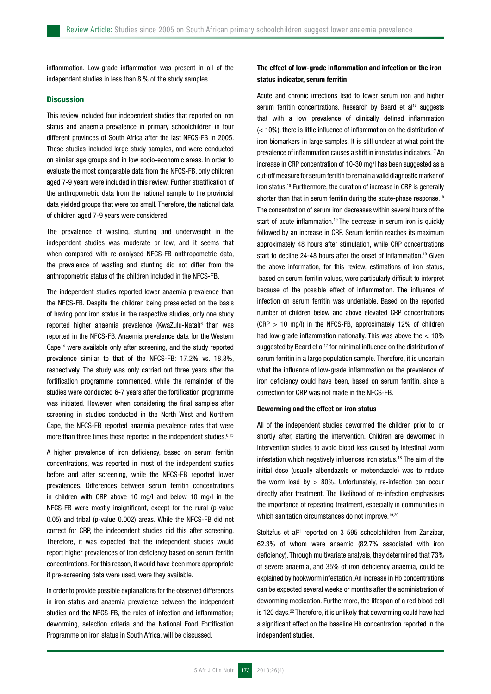inflammation. Low-grade inflammation was present in all of the independent studies in less than 8 % of the study samples.

# **Discussion**

This review included four independent studies that reported on iron status and anaemia prevalence in primary schoolchildren in four different provinces of South Africa after the last NFCS-FB in 2005. These studies included large study samples, and were conducted on similar age groups and in low socio-economic areas. In order to evaluate the most comparable data from the NFCS-FB, only children aged 7-9 years were included in this review. Further stratification of the anthropometric data from the national sample to the provincial data yielded groups that were too small. Therefore, the national data of children aged 7-9 years were considered.

The prevalence of wasting, stunting and underweight in the independent studies was moderate or low, and it seems that when compared with re-analysed NFCS-FB anthropometric data, the prevalence of wasting and stunting did not differ from the anthropometric status of the children included in the NFCS-FB.

The independent studies reported lower anaemia prevalence than the NFCS-FB. Despite the children being preselected on the basis of having poor iron status in the respective studies, only one study reported higher anaemia prevalence (KwaZulu-Natal)<sup>6</sup> than was reported in the NFCS-FB. Anaemia prevalence data for the Western Cape14 were available only after screening, and the study reported prevalence similar to that of the NFCS-FB: 17.2% vs. 18.8%, respectively. The study was only carried out three years after the fortification programme commenced, while the remainder of the studies were conducted 6-7 years after the fortification programme was initiated. However, when considering the final samples after screening in studies conducted in the North West and Northern Cape, the NFCS-FB reported anaemia prevalence rates that were more than three times those reported in the independent studies.<sup>6,15</sup>

A higher prevalence of iron deficiency, based on serum ferritin concentrations, was reported in most of the independent studies before and after screening, while the NFCS-FB reported lower prevalences. Differences between serum ferritin concentrations in children with CRP above 10 mg/l and below 10 mg/l in the NFCS-FB were mostly insignificant, except for the rural (p-value 0.05) and tribal (p-value 0.002) areas. While the NFCS-FB did not correct for CRP, the independent studies did this after screening. Therefore, it was expected that the independent studies would report higher prevalences of iron deficiency based on serum ferritin concentrations. For this reason, it would have been more appropriate if pre-screening data were used, were they available.

In order to provide possible explanations for the observed differences in iron status and anaemia prevalence between the independent studies and the NFCS-FB, the roles of infection and inflammation; deworming, selection criteria and the National Food Fortification Programme on iron status in South Africa, will be discussed.

# The effect of low-grade inflammation and infection on the iron status indicator, serum ferritin

Acute and chronic infections lead to lower serum iron and higher serum ferritin concentrations. Research by Beard et al<sup>17</sup> suggests that with a low prevalence of clinically defined inflammation (< 10%), there is little influence of inflammation on the distribution of iron biomarkers in large samples. It is still unclear at what point the prevalence of inflammation causes a shift in iron status indicators.17 An increase in CRP concentration of 10-30 mg/l has been suggested as a cut-off measure for serum ferritin to remain a valid diagnostic marker of iron status.18 Furthermore, the duration of increase in CRP is generally shorter than that in serum ferritin during the acute-phase response.<sup>18</sup> The concentration of serum iron decreases within several hours of the start of acute inflammation.<sup>19</sup> The decrease in serum iron is quickly followed by an increase in CRP. Serum ferritin reaches its maximum approximately 48 hours after stimulation, while CRP concentrations start to decline 24-48 hours after the onset of inflammation.<sup>19</sup> Given the above information, for this review, estimations of iron status, based on serum ferritin values, were particularly difficult to interpret because of the possible effect of inflammation. The influence of infection on serum ferritin was undeniable. Based on the reported number of children below and above elevated CRP concentrations  $(CRP > 10$  mg/l) in the NFCS-FB, approximately 12% of children had low-grade inflammation nationally. This was above the < 10% suggested by Beard et al<sup>17</sup> for minimal influence on the distribution of serum ferritin in a large population sample. Therefore, it is uncertain what the influence of low-grade inflammation on the prevalence of iron deficiency could have been, based on serum ferritin, since a correction for CRP was not made in the NFCS-FB.

#### Deworming and the effect on iron status

All of the independent studies dewormed the children prior to, or shortly after, starting the intervention. Children are dewormed in intervention studies to avoid blood loss caused by intestinal worm infestation which negatively influences iron status.18 The aim of the initial dose (usually albendazole or mebendazole) was to reduce the worm load by  $> 80\%$ . Unfortunately, re-infection can occur directly after treatment. The likelihood of re-infection emphasises the importance of repeating treatment, especially in communities in which sanitation circumstances do not improve.<sup>19,20</sup>

Stoltzfus et al<sup>21</sup> reported on 3 595 schoolchildren from Zanzibar, 62.3% of whom were anaemic (82.7% associated with iron deficiency). Through multivariate analysis, they determined that 73% of severe anaemia, and 35% of iron deficiency anaemia, could be explained by hookworm infestation. An increase in Hb concentrations can be expected several weeks or months after the administration of deworming medication. Furthermore, the lifespan of a red blood cell is 120 days.<sup>22</sup> Therefore, it is unlikely that deworming could have had a significant effect on the baseline Hb concentration reported in the independent studies.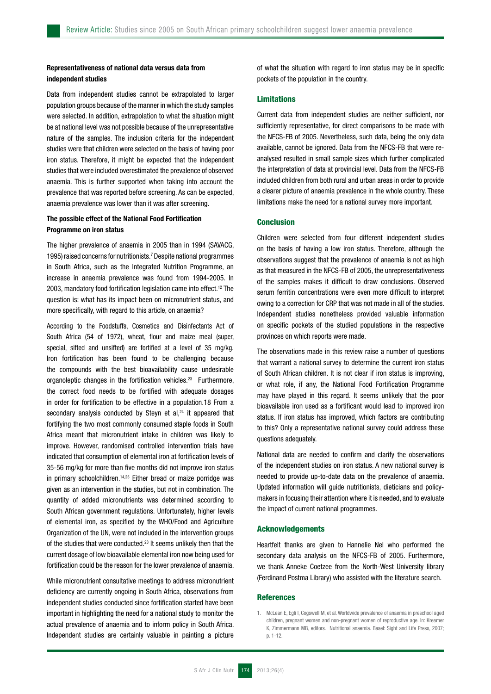# Representativeness of national data versus data from independent studies

Data from independent studies cannot be extrapolated to larger population groups because of the manner in which the study samples were selected. In addition, extrapolation to what the situation might be at national level was not possible because of the unrepresentative nature of the samples. The inclusion criteria for the independent studies were that children were selected on the basis of having poor iron status. Therefore, it might be expected that the independent studies that were included overestimated the prevalence of observed anaemia. This is further supported when taking into account the prevalence that was reported before screening. As can be expected, anaemia prevalence was lower than it was after screening.

# The possible effect of the National Food Fortification Programme on iron status

The higher prevalence of anaemia in 2005 than in 1994 (SAVACG, 1995) raised concerns for nutritionists.7 Despite national programmes in South Africa, such as the Integrated Nutrition Programme, an increase in anaemia prevalence was found from 1994-2005. In 2003, mandatory food fortification legislation came into effect.12 The question is: what has its impact been on micronutrient status, and more specifically, with regard to this article, on anaemia?

According to the Foodstuffs, Cosmetics and Disinfectants Act of South Africa (54 of 1972), wheat, flour and maize meal (super, special, sifted and unsifted) are fortified at a level of 35 mg/kg. Iron fortification has been found to be challenging because the compounds with the best bioavailability cause undesirable organoleptic changes in the fortification vehicles.<sup>23</sup> Furthermore, the correct food needs to be fortified with adequate dosages in order for fortification to be effective in a population.18 From a secondary analysis conducted by Steyn et  $al$ , $^{24}$  it appeared that fortifying the two most commonly consumed staple foods in South Africa meant that micronutrient intake in children was likely to improve. However, randomised controlled intervention trials have indicated that consumption of elemental iron at fortification levels of 35-56 mg/kg for more than five months did not improve iron status in primary schoolchildren.<sup>14,25</sup> Either bread or maize porridge was given as an intervention in the studies, but not in combination. The quantity of added micronutrients was determined according to South African government regulations. Unfortunately, higher levels of elemental iron, as specified by the WHO/Food and Agriculture Organization of the UN, were not included in the intervention groups of the studies that were conducted.23 It seems unlikely then that the current dosage of low bioavailable elemental iron now being used for fortification could be the reason for the lower prevalence of anaemia.

While micronutrient consultative meetings to address micronutrient deficiency are currently ongoing in South Africa, observations from independent studies conducted since fortification started have been important in highlighting the need for a national study to monitor the actual prevalence of anaemia and to inform policy in South Africa. Independent studies are certainly valuable in painting a picture

of what the situation with regard to iron status may be in specific pockets of the population in the country.

## Limitations

Current data from independent studies are neither sufficient, nor sufficiently representative, for direct comparisons to be made with the NFCS-FB of 2005. Nevertheless, such data, being the only data available, cannot be ignored. Data from the NFCS-FB that were reanalysed resulted in small sample sizes which further complicated the interpretation of data at provincial level. Data from the NFCS-FB included children from both rural and urban areas in order to provide a clearer picture of anaemia prevalence in the whole country. These limitations make the need for a national survey more important.

# **Conclusion**

Children were selected from four different independent studies on the basis of having a low iron status. Therefore, although the observations suggest that the prevalence of anaemia is not as high as that measured in the NFCS-FB of 2005, the unrepresentativeness of the samples makes it difficult to draw conclusions. Observed serum ferritin concentrations were even more difficult to interpret owing to a correction for CRP that was not made in all of the studies. Independent studies nonetheless provided valuable information on specific pockets of the studied populations in the respective provinces on which reports were made.

The observations made in this review raise a number of questions that warrant a national survey to determine the current iron status of South African children. It is not clear if iron status is improving, or what role, if any, the National Food Fortification Programme may have played in this regard. It seems unlikely that the poor bioavailable iron used as a fortificant would lead to improved iron status. If iron status has improved, which factors are contributing to this? Only a representative national survey could address these questions adequately.

National data are needed to confirm and clarify the observations of the independent studies on iron status. A new national survey is needed to provide up-to-date data on the prevalence of anaemia. Updated information will guide nutritionists, dieticians and policymakers in focusing their attention where it is needed, and to evaluate the impact of current national programmes.

#### Acknowledgements

Heartfelt thanks are given to Hannelie Nel who performed the secondary data analysis on the NFCS-FB of 2005. Furthermore, we thank Anneke Coetzee from the North-West University library (Ferdinand Postma Library) who assisted with the literature search.

#### References

1. McLean E, Egli I, Cogswell M, et al. Worldwide prevalence of anaemia in preschool aged children, pregnant women and non-pregnant women of reproductive age. In: Kreamer K, Zimmermann MB, editors. Nutritional anaemia. Basel: Sight and Life Press, 2007; p. 1-12.